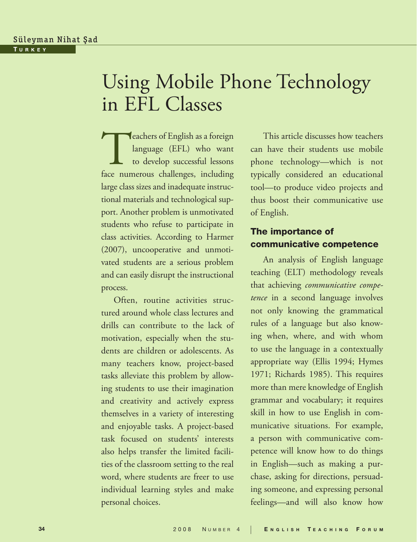# Using Mobile Phone Technology in EFL Classes—

**Teachers of English as a foreign<br>language** (EFL) who want<br>to develop successful lessons<br>face numerous challenges, including language (EFL) who want to develop successful lessons face numerous challenges, including large class sizes and inadequate instructional materials and technological support. Another problem is unmotivated students who refuse to participate in class activities. According to Harmer (2007), uncooperative and unmotivated students are a serious problem and can easily disrupt the instructional process. —

Often, routine activities structured around whole class lectures and drills can contribute to the lack of motivation, especially when the students are children or adolescents. As many teachers know, project-based tasks alleviate this problem by allowing students to use their imagination and creativity and actively express themselves in a variety of interesting and enjoyable tasks. A project-based task focused on students' interests also helps transfer the limited facilities of the classroom setting to the real word, where students are freer to use individual learning styles and make personal choices.

This article discusses how teachers can have their students use mobile phone technology—which is not typically considered an educational tool—to produce video projects and thus boost their communicative use of English. —

## The importance of communicative competence—

An analysis of English language teaching (ELT) methodology reveals that achieving *communicative competence* in a second language involves not only knowing the grammatical rules of a language but also knowing when, where, and with whom to use the language in a contextually appropriate way (Ellis 1994; Hymes 1971; Richards 1985). This requires more than mere knowledge of English grammar and vocabulary; it requires skill in how to use English in communicative situations. For example, a person with communicative competence will know how to do things in English—such as making a purchase, asking for directions, persuading someone, and expressing personal feelings—and will also know how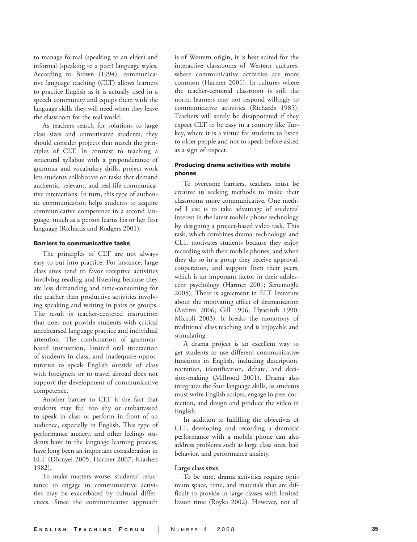to manage formal (speaking to an elder) and informal (speaking to a peer) language styles. According to Brown (1994), communica tive language teaching (CLT) allows learners to practice English as it is actually used in a speech community and equips them with the language skills they will need when they leave the classroom for the real world.

As teachers search for solutions to large class sizes and unmotivated students, they should consider projects that match the principles of CLT. In contrast to teaching a structural syllabus with a preponderance of grammar and vocabulary drills, project work lets students collaborate on tasks that demand authentic, relevant, and real-life communicative interactions. In turn, this type of authentic communication helps students to acquire communicative competence in a second language, much as a person learns his or her first language (Richards and Rodgers 2001).

#### Barriers to communicative tasks

The principles of CLT are not always easy to put into practice. For instance, large class sizes tend to favor receptive activities involving reading and listening because they are less demanding and time-consuming for the teacher than productive activities involv ing speaking and writing in pairs or groups. The result is teacher-centered instruction that does not provide students with critical unrehearsed language practice and individual attention. The combination of grammarbased instruction, limited oral interaction of students in class, and inadequate oppor tunities to speak English outside of class with foreigners or to travel abroad does not support the development of communicative competence.

Another barrier to CLT is the fact that students may feel too shy or embarrassed to speak in class or perform in front of an audience, especially in English. This type of performance anxiety, and other feelings students have in the language learning process, have long been an important consideration in ELT (Dörnyei 2005; Harmer 2007; Krashen 1982).

32)<mark>.</mark><br>To make matters worse, students' reluctance to engage in communicative activi ties may be exacerbated by cultural differ ences. Since the communicative approach is of Western origin, it is best suited for the interactive classrooms of Western cultures, where communicative activities are more common (Harmer 2001). In cultures where the teacher-centered classroom is still the norm, learners may not respond willingly to communicative activities (Richards 1985). Teachers will surely be disappointed if they expect CLT to be easy in a country like Tur key, where it is a virtue for students to listen to older people and not to speak before asked as a sign of respect.

#### Producing drama activities with mobile phones

To overcome barriers, teachers must be creative in seeking methods to make their classrooms more communicative. One method I use is to take advantage of students' interest in the latest mobile phone technology by designing a project-based video task. This task, which combines drama, technology, and CLT, motivates students because they enjoy recording with their mobile phones, and when they do so in a group they receive approval, cooperation, and support from their peers, which is an important factor in their adolescent psychology (Harmer 2001; Senemoğlu 2005). There is agreement in ELT literature about the motivating effect of dramatization (Arditto 2006; Gill 1996; Hyacinth 1990; Miccoli 2003). It breaks the monotony of traditional class teaching and is enjoyable and stimulating.

A drama project is an excellent way to get students to use different communicative functions in English, including description, narration, identification, debate, and decision-making (Millrood 2001). Drama also integrates the four language skills, as students must write English scripts, engage in peer correction, and design and produce the video in English.

In addition to fulfilling the objectives of CLT, developing and recording a dramatic performance with a mobile phone can also address problems such as large class sizes, bad behavior, and performance anxiety.

#### **Large class sizes**

To be sure, drama activities require optimum space, time, and materials that are difficult to provide in large classes with limited lesson time (Royka 2002). However, not all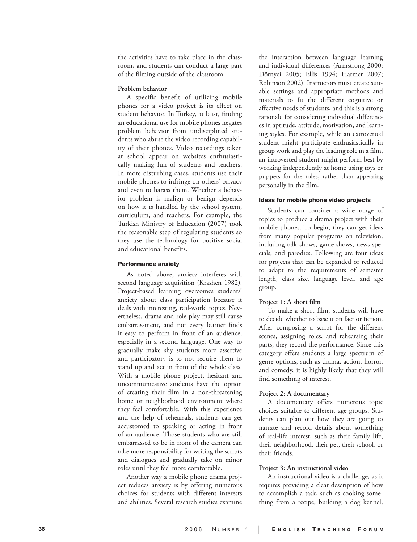the activities have to take place in the classroom, and students can conduct a large part of the filming outside of the classroom.

#### **Problem behavior**

A specific benefit of utilizing mobile phones for a video project is its effect on student behavior. In Turkey, at least, finding an educational use for mobile phones negates problem behavior from undisciplined stu dents who abuse the video recording capabil ity of their phones. Video recordings taken at school appear on websites enthusiasti cally making fun of students and teachers. In more disturbing cases, students use their mobile phones to infringe on others' privacy and even to harass them. Whether a behav ior problem is malign or benign depends on how it is handled by the school system, curriculum, and teachers. For example, the Turkish Ministry of Education (2007) took the reasonable step of regulating students so they use the technology for positive social and educational benefits.

#### Performance anxiety

As noted above, anxiety interferes with second language acquisition (Krashen 1982). Project-based learning overcomes students' anxiety about class participation because it deals with interesting, real-world topics. Nevertheless, drama and role play may still cause embarrassment, and not every learner finds it easy to perform in front of an audience, especially in a second language. One way to gradually make shy students more assertive and participatory is to not require them to stand up and act in front of the whole class. With a mobile phone project, hesitant and uncommunicative students have the option of creating their film in a non-threatening home or neighborhood environment where they feel comfortable. With this experience and the help of rehearsals, students can get accustomed to speaking or acting in front of an audience. Those students who are still embarrassed to be in front of the camera can take more responsibility for writing the scripts and dialogues and gradually take on minor roles until they feel more comfortable.

Another way a mobile phone drama project reduces anxiety is by offering numerous choices for students with different interests and abilities. Several research studies examine

the interaction between language learning and individual differences (Armstrong 2000; Dörnyei 2005; Ellis 1994; Harmer 2007; Robinson 2002). Instructors must create suitable settings and appropriate methods and materials to fit the different cognitive or affective needs of students, and this is a strong rationale for considering individual differences in aptitude, attitude, motivation, and learning styles. For example, while an extroverted student might participate enthusiastically in group work and play the leading role in a film, an introverted student might perform best by working independently at home using toys or puppets for the roles, rather than appearing personally in the film.

#### Ideas for mobile phone video projects

Students can consider a wide range of topics to produce a drama project with their mobile phones. To begin, they can get ideas from many popular programs on television, including talk shows, game shows, news specials, and parodies. Following are four ideas for projects that can be expanded or reduced to adapt to the requirements of semester length, class size, language level, and age group.

#### **Project 1: A short film**

To make a short film, students will have to decide whether to base it on fact or fiction. After composing a script for the different scenes, assigning roles, and rehearsing their parts, they record the performance. Since this category offers students a large spectrum of genre options, such as drama, action, horror, and comedy, it is highly likely that they will find something of interest.

#### **Project 2: A documentary**

A documentary offers numerous topic choices suitable to different age groups. Students can plan out how they are going to narrate and record details about something of real-life interest, such as their family life, their neighborhood, their pet, their school, or their friends.

#### **Project 3: An instructional video**

An instructional video is a challenge, as it requires providing a clear description of how to accomplish a task, such as cooking something from a recipe, building a dog kennel,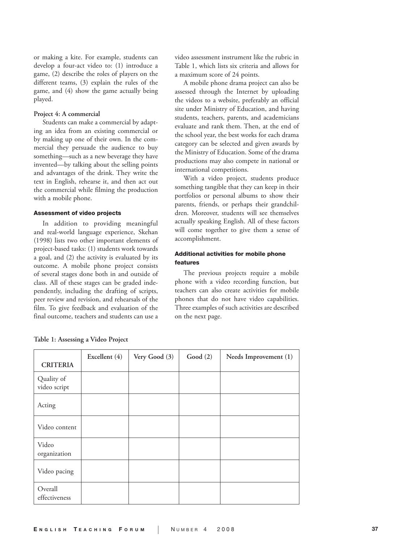or making a kite. For example, students can develop a four-act video to: (1) introduce a game, (2) describe the roles of players on the different teams, (3) explain the rules of the game, and (4) show the game actually being played. —

#### Project 4: A commercial

Students can make a commercial by adapting an idea from an existing commercial or by making up one of their own. In the commercial they persuade the audience to buy something—such as a new beverage they have invented—by talking about the selling points and advantages of the drink. They write the text in English, rehearse it, and then act out the commercial while filming the production with a mobile phone.

#### Assessment of video projects —

In addition to providing meaningful and real-world language experience, Skehan (1998) lists two other important elements of project-based tasks: (1) students work towards a goal, and (2) the activity is evaluated by its outcome. A mobile phone project consists of several stages done both in and outside of class. All of these stages can be graded independently, including the drafting of scripts, peer review and revision, and rehearsals of the film. To give feedback and evaluation of the final outcome, teachers and students can use a

video assessment instrument like the rubric in Table 1, which lists six criteria and allows for a maximum score of 24 points.

A mobile phone drama project can also be assessed through the Internet by uploading the videos to a website, preferably an official site under Ministry of Education, and having students, teachers, parents, and academicians evaluate and rank them. Then, at the end of the school year, the best works for each drama category can be selected and given awards by the Ministry of Education. Some of the drama productions may also compete in national or international competitions. —

With a video project, students produce something tangible that they can keep in their portfolios or personal albums to show their parents, friends, or perhaps their grandchildren. Moreover, students will see themselves actually speaking English. All of these factors will come together to give them a sense of accomplishment.

#### Additional activities for mobile phone features—

The previous projects require a mobile phone with a video recording function, but teachers can also create activities for mobile phones that do not have video capabilities. Three examples of such activities are described on the next page.

| <b>CRITERIA</b>            | Excellent (4) | Very Good (3) | Good (2) | Needs Improvement (1) |
|----------------------------|---------------|---------------|----------|-----------------------|
| Quality of<br>video script |               |               |          |                       |
| Acting                     |               |               |          |                       |
| Video content              |               |               |          |                       |
| Video<br>organization      |               |               |          |                       |
| Video pacing               |               |               |          |                       |
| Overall<br>effectiveness   |               |               |          |                       |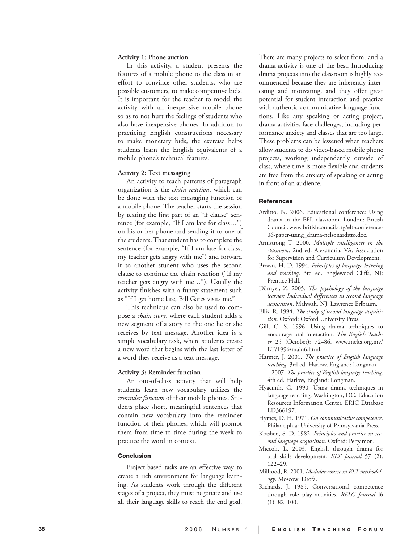#### **Activity 1: Phone auction**

In this activity, a student presents the features of a mobile phone to the class in an effort to convince other students, who are possible customers, to make competitive bids. It is important for the teacher to model the activity with an inexpensive mobile phone so as to not hurt the feelings of students who also have inexpensive phones. In addition to practicing English constructions necessary to make monetary bids, the exercise helps students learn the English equivalents of a mobile phone's technical features.

#### **Activity 2: Text messaging**

An activity to teach patterns of paragraph organization is the *chain reaction*, which can be done with the text messaging function of a mobile phone. The teacher starts the session by texting the first part of an "if clause" sentence (for example, "If I am late for class…") on his or her phone and sending it to one of the students. That student has to complete the sentence (for example, "If I am late for class, my teacher gets angry with me") and forward it to another student who uses the second clause to continue the chain reaction ("If my teacher gets angry with me…"). Usually the activity finishes with a funny statement such as "If I get home late, Bill Gates visits me."

This technique can also be used to compose a *chain story*, where each student adds a new segment of a story to the one he or she receives by text message. Another idea is a simple vocabulary task, where students create a new word that begins with the last letter of a word they receive as a text message.

#### **Activity 3: Reminder function**

An out-of-class activity that will help students learn new vocabulary utilizes the *reminder function* of their mobile phones. Students place short, meaningful sentences that contain new vocabulary into the reminder function of their phones, which will prompt them from time to time during the week to practice the word in context.

#### Conclusion

Project-based tasks are an effective way to create a rich environment for language learn ing. As students work through the different stages of a project, they must negotiate and use all their language skills to reach the end goal.

There are many projects to select from, and a drama activity is one of the best. Introducing drama projects into the classroom is highly rec ommended because they are inherently inter esting and motivating, and they offer great potential for student interaction and practice with authentic communicative language func tions. Like any speaking or acting project, drama activities face challenges, including per formance anxiety and classes that are too large. These problems can be lessened when teachers allow students to do video-based mobile phone projects, working independently outside of class, where time is more flexible and students are free from the anxiety of speaking or acting in front of an audience.

#### **References**

- Arditto, N. 2006. Educational conference: Using drama in the EFL classroom. London: British Council. www.britishcouncil.org/elt-conference-06-paper-using\_drama-nelsonarditto.doc.
- Armstrong T. 2000. *Multiple intelligences in the classroom*. 2nd ed. Alexandria, VA: Association for Supervision and Curriculum Development.
- Brown, H. D. 1994. *Principles of language learning and teaching*. 3rd ed. Englewood Cliffs, NJ: Prentice Hall.
- Dörnyei, Z. 2005. *The psychology of the language learner: Individual differences in second language acquisition*. Mahwah, NJ: Lawrence Erlbaum.
- Ellis, R. 1994. *The study of second language acquisi tion*. Oxford: Oxford University Press.
- Gill, C. S. 1996. Using drama techniques to encourage oral interaction. *The English Teach er* 25 (October): 72–86. www.melta.org.my/ ET/1996/main6.html.
- Harmer, J. 2001. *The practice of English language teaching*. 3rd ed. Harlow, England: Longman. —
- –––. 2007. *The practice of English language teaching*. 4th ed. Harlow, England: Longman.
- Hyacinth, G. 1990. Using drama techniques in language teaching. Washington, DC: Education Resources Information Center. ERIC Database ED366197.
- Hymes, D. H. 1971. *On communicative competence*. Philadelphia: University of Pennsylvania Press.
- Krashen, S. D. 1982. *Principles and practice in second language acquisition*. Oxford: Pergamon. —
- Miccoli, L. 2003. English through drama for oral skills development. *ELT Journal* 57 (2): 122–29.
- Millrood, R. 2001. *Modular course in ELT methodology*. Moscow: Drofa. —
- Richards, J. 1985. Conversational competence through role play activities. *RELC Journal* l6  $(1): 82 - 100.$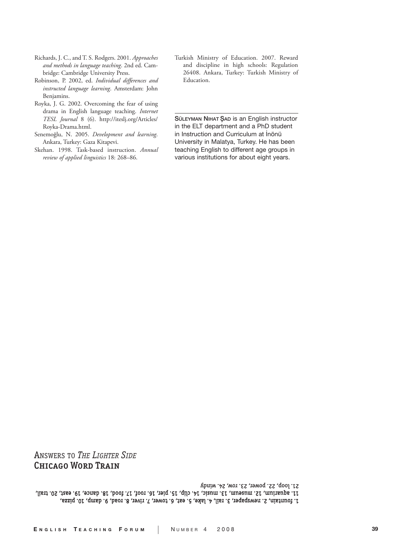21. loop, 22. power, 23. row, 24. windy 11. ajuarium, 12. nuuseum, 13. nuusic, 14. clip, 15. pier, 16. roof, 17. tood, 18. dance, 19. east, 20. trail, 1. fountain, 2. newspaper, 3. rail, 4. lake, 5. eat, 6. tower, 7. river, 8. road, 9. damp, 10. pizza,

Answers to *The LighTer Side* Chicago Word Train

*TESL Journal* 8 (6). http://iteslj.org/Articles/ Royka-Drama.html.— Ankara, Turkey: Gaza Kitapevi. *review of applied linguistics* 18: 268–86.

Senemoğlu, N. 2005. *Development and learning*.

Royka, J. G. 2002. Overcoming the fear of using drama in English language teaching. *Internet* 

Richards, J. C., and T. S. Rodgers. 2001. *Approaches and methods in language teaching*. 2nd ed. Cam-

bridge: Cambridge University Press. — Robinson, P. 2002, ed. *Individual differences and instructed language learning*. Amsterdam: John

Benjamins. —

- 
- Skehan. 1998. Task-based instruction. *Annual*

Turkish Ministry of Education. 2007. Reward and discipline in high schools: Regulation 26408. Ankara, Turkey: Turkish Ministry of Education.

SÜLEYMAN NIHAT ŞAD is an English instructor in the ELT department and a PhD student in Instruction and Curriculum at İnönü University in Malatya, Turkey. He has been teaching English to different age groups in various institutions for about eight years.